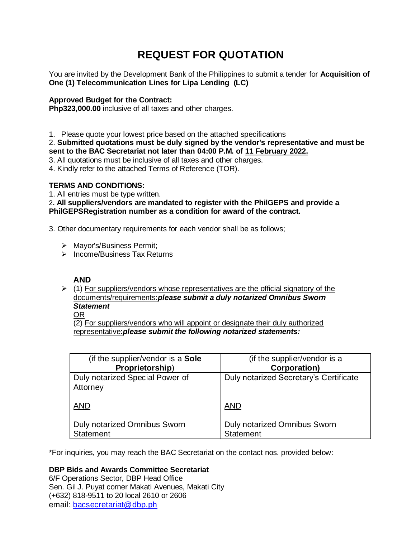# **REQUEST FOR QUOTATION**

You are invited by the Development Bank of the Philippines to submit a tender for **Acquisition of One (1) Telecommunication Lines for Lipa Lending (LC)**

# **Approved Budget for the Contract:**

**Php323,000.00** inclusive of all taxes and other charges.

1. Please quote your lowest price based on the attached specifications

2. **Submitted quotations must be duly signed by the vendor's representative and must be sent to the BAC Secretariat not later than 04:00 P.M. of 11 February 2022.**

3. All quotations must be inclusive of all taxes and other charges.

4. Kindly refer to the attached Terms of Reference (TOR).

# **TERMS AND CONDITIONS:**

1. All entries must be type written.

2**. All suppliers/vendors are mandated to register with the PhilGEPS and provide a PhilGEPSRegistration number as a condition for award of the contract.**

3. Other documentary requirements for each vendor shall be as follows;

- > Mayor's/Business Permit;
- $\triangleright$  Income/Business Tax Returns

# **AND**

 $\geq$  (1) For suppliers/vendors whose representatives are the official signatory of the documents/requirements:*please submit a duly notarized Omnibus Sworn Statement*

OR

(2) For suppliers/vendors who will appoint or designate their duly authorized representative:*please submit the following notarized statements:*

| (if the supplier/vendor is a <b>Sole</b> )              | (if the supplier/vendor is a                     |
|---------------------------------------------------------|--------------------------------------------------|
| Proprietorship)                                         | Corporation)                                     |
| Duly notarized Special Power of<br>Attorney             | Duly notarized Secretary's Certificate           |
| <b>AND</b>                                              | <b>AND</b>                                       |
| <b>Duly notarized Omnibus Sworn</b><br><b>Statement</b> | Duly notarized Omnibus Sworn<br><b>Statement</b> |

\*For inquiries, you may reach the BAC Secretariat on the contact nos. provided below:

# **DBP Bids and Awards Committee Secretariat**

6/F Operations Sector, DBP Head Office Sen. Gil J. Puyat corner Makati Avenues, Makati City (+632) 818-9511 to 20 local 2610 or 2606 email: [bacsecretariat@dbp.ph](mailto:bacsecretariat@dbp.ph)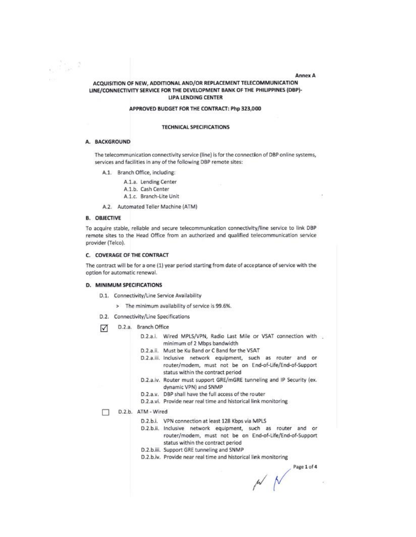#### Annex A

# ACQUISITION OF NEW, ADDITIONAL AND/OR REPLACEMENT TELECOMMUNICATION LINE/CONNECTIVITY SERVICE FOR THE DEVELOPMENT BANK OF THE PHILIPPINES (DBP)-**LIPA LENDING CENTER**

### APPROVED BUDGET FOR THE CONTRACT: Php 323,000

#### **TECHNICAL SPECIFICATIONS**

### A. BACKGROUND

Py f

The telecommunication connectivity service (line) is for the connection of DBP online systems, services and facilities in any of the following DBP remote sites:

A.1. Branch Office, including:

A.1.a. Lending Center

- A.1.b. Cash Center
- A.1.c. Branch-Lite Unit
- A.2. Automated Teller Machine (ATM)

### **B. OBJECTIVE**

To acquire stable, reliable and secure telecommunication connectivity/line service to link DBP remote sites to the Head Office from an authorized and qualified telecommunication service provider (Telco).

### C. COVERAGE OF THE CONTRACT

The contract will be for a one (1) year period starting from date of acceptance of service with the option for automatic renewal.

#### D. MINIMUM SPECIFICATIONS

- D.1. Connectivity/Line Service Availability
	- > The minimum availability of service is 99.6%.
- D.2. Connectivity/Line Specifications
- D.2.a. Branch Office ☑
	- D.2.a.i. Wired MPLS/VPN, Radio Last Mile or VSAT connection with minimum of 2 Mbps bandwidth
	- D.2.a.ii. Must be Ku Band or C Band for the VSAT
	- D.2.a.iii. Inclusive network equipment, such as router and or router/modem, must not be on End-of-Life/End-of-Support status within the contract period
	- D.2.a.iv. Router must support GRE/mGRE tunneling and IP Security (ex. dynamic VPN) and SNMP
	- D.2.a.v. DBP shall have the full access of the router
	- D.2.a.vi. Provide near real time and historical link monitoring

#### D.2.b. ATM - Wired

- D.2.b.i. VPN connection at least 128 Kbps via MPLS
- D.2.b.ii. Inclusive network equipment, such as router and or router/modem, must not be on End-of-Life/End-of-Support status within the contract period
- D.2.b.iii. Support GRE tunneling and SNMP
- D.2.b.iv. Provide near real time and historical link monitoring

Page 1 of 4

 $M$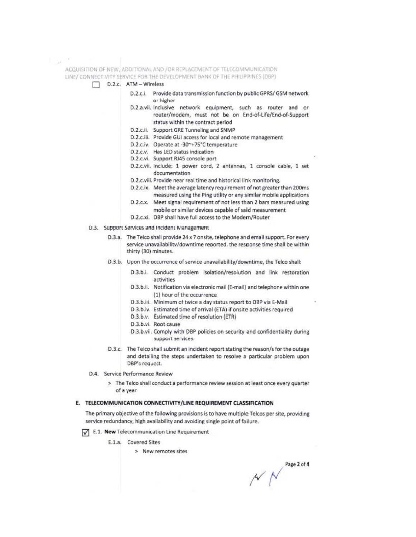$\sim$ 

ACQUISITION OF NEW, ADDITIONAL AND /OR REPLACEMENT OF TELECOMMUNICATION LINE/ CONNECTIVITY SERVICE FOR THE DEVELOPMENT BANK OF THE PHILIPPINES (DBP) D.2.c. ATM - Wireless D.2.c.i. Provide data transmission function by public GPRS/ GSM network or higher D.2.a.vii. Inclusive network equipment, such as router and or router/modem, must not be on End-of-Life/End-of-Support status within the contract period D.2.c.ii. Support GRE Tunneling and SNMP D.2.c.iii. Provide GUI access for local and remote management D.2.c.iv. Operate at -30~+75°C temperature D.2.c.v. Has LED status indication D.2.c.vi. Support RJ45 console port D.2.c.vii. Include: 1 power cord, 2 antennas, 1 console cable, 1 set documentation D.2.c.viii. Provide near real time and historical link monitoring. D.2.c.ix. Meet the average latency requirement of not greater than 200ms measured using the Ping utility or any similar mobile applications D.2.c.x. Meet signal requirement of not less than 2 bars measured using mobile or similar devices capable of said measurement D.2.c.xi. DBP shall have full access to the Modern/Router D.3. Support Services and Incident Management D.3.a. The Telco shall provide 24 x 7 onsite, telephone and email support. For every service unavailability/downtime reported, the response time shall be within thirty (30) minutes. D.3.b. Upon the occurrence of service unavailability/downtime, the Telco shall: D.3.b.i. Conduct problem isolation/resolution and link restoration activities D.3.b.ii. Notification via electronic mail (E-mail) and telephone within one (1) hour of the occurrence D.3.b.iii. Minimum of twice a day status report to DBP via E-Mail D.3.b.iv. Estimated time of arrival (ETA) if onsite activities required D.3.b.v. Estimated time of resolution (ETR) D.3.b.vi. Root cause D.3.b.vii. Comply with DBP policies on security and confidentiality during support services. D.3.c. The Telco shall submit an incident report stating the reason/s for the outage and detailing the steps undertaken to resolve a particular problem upon DBP's request. D.4. Service Performance Review > The Telco shall conduct a performance review session at least once every quarter of a year E. TELECOMMUNICATION CONNECTIVITY/LINE REQUIREMENT CLASSIFICATION The primary objective of the following provisions is to have multiple Telcos per site, providing service redundancy, high availability and avoiding single point of failure. E.1. New Telecommunication Line Requirement E.1.a. Covered Sites

> New remotes sites

Page 2 of 4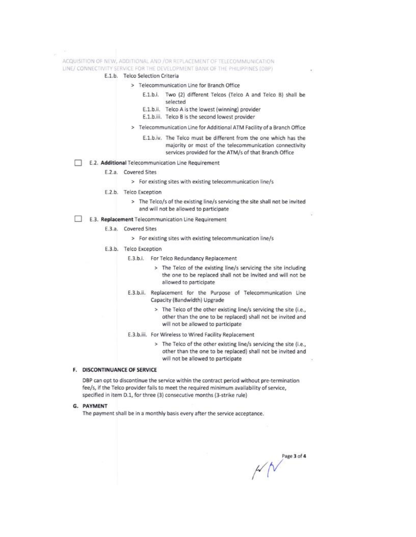ACQUISITION OF NEW, ADDITIONAL AND /OR REPLACEMENT OF TELECOMMUNICATION LINE/ CONNECTIVITY SERVICE FOR THE DEVELOPMENT BANK OF THE PHILIPPINES (OBP)

- E.1.b. Telco Selection Criteria
	- > Telecommunication Line for Branch Office
		- E.1.b.i. Two (2) different Telcos (Telco A and Telco B) shall be selected
		- E.1.b.ii. Telco A is the lowest (winning) provider
		- E.1.b.iii. Telco B is the second lowest provider
	- > Telecommunication Line for Additional ATM Facility of a Branch Office
		- E.1.b.iv. The Telco must be different from the one which has the majority or most of the telecommunication connectivity services provided for the ATM/s of that Branch Office
- E.2. Additional Telecommunication Line Requirement
	- E.2.a. Covered Sites
		- > For existing sites with existing telecommunication line/s
	- E.2.b. Telco Exception
		- > The Telco/s of the existing line/s servicing the site shall not be invited and will not be allowed to participate
- E.3. Replacement Telecommunication Line Requirement
	- E.3.a. Covered Sites
		- > For existing sites with existing telecommunication line/s
	- E.3.b. Telco Exception
		- E.3.b.i. For Telco Redundancy Replacement
			- > The Telco of the existing line/s servicing the site including the one to be replaced shall not be invited and will not be allowed to participate
		- E.3.b.ii. Replacement for the Purpose of Telecommunication Line Capacity (Bandwidth) Upgrade
			- > The Telco of the other existing line/s servicing the site (i.e., other than the one to be replaced) shall not be invited and will not be allowed to participate
		- E.3.b.iii. For Wireless to Wired Facility Replacement
			- > The Telco of the other existing line/s servicing the site (i.e., other than the one to be replaced) shall not be invited and will not be allowed to participate

#### F. DISCONTINUANCE OF SERVICE

DBP can opt to discontinue the service within the contract period without pre-termination fee/s, if the Telco provider fails to meet the required minimum availability of service, specified in item D.1, for three (3) consecutive months (3-strike rule)

### G. PAYMENT

The payment shall be in a monthly basis every after the service acceptance.

Page 3 of 4